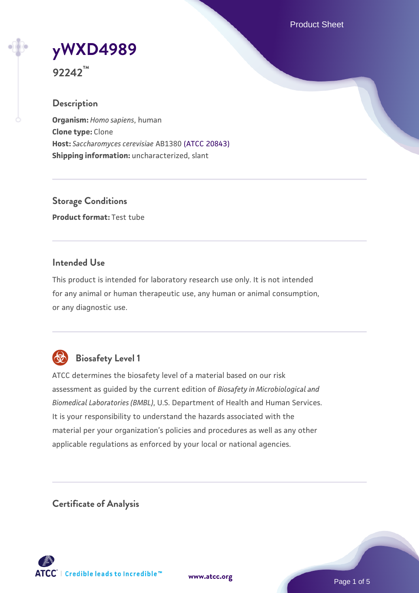Product Sheet

# **[yWXD4989](https://www.atcc.org/products/92242)**

**92242™**

# **Description**

**Organism:** *Homo sapiens*, human **Clone type:** Clone **Host:** *Saccharomyces cerevisiae* AB1380 [\(ATCC 20843\)](https://www.atcc.org/products/20843) **Shipping information:** uncharacterized, slant

**Storage Conditions Product format:** Test tube

# **Intended Use**

This product is intended for laboratory research use only. It is not intended for any animal or human therapeutic use, any human or animal consumption, or any diagnostic use.



# **Biosafety Level 1**

ATCC determines the biosafety level of a material based on our risk assessment as guided by the current edition of *Biosafety in Microbiological and Biomedical Laboratories (BMBL)*, U.S. Department of Health and Human Services. It is your responsibility to understand the hazards associated with the material per your organization's policies and procedures as well as any other applicable regulations as enforced by your local or national agencies.

**Certificate of Analysis**

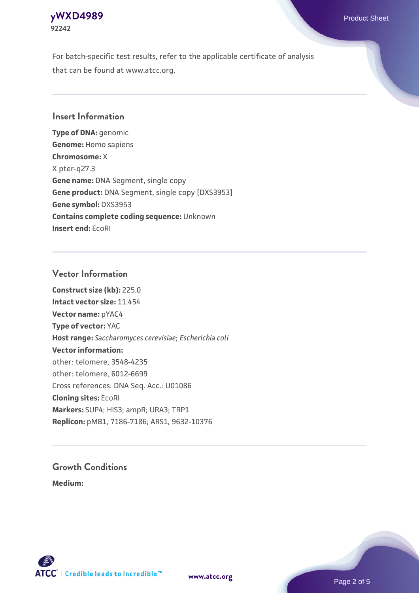# **[yWXD4989](https://www.atcc.org/products/92242)** Product Sheet **92242**

For batch-specific test results, refer to the applicable certificate of analysis that can be found at www.atcc.org.

# **Insert Information**

**Type of DNA:** genomic **Genome:** Homo sapiens **Chromosome:** X X pter-q27.3 **Gene name:** DNA Segment, single copy **Gene product:** DNA Segment, single copy [DXS3953] **Gene symbol:** DXS3953 **Contains complete coding sequence:** Unknown **Insert end:** EcoRI

# **Vector Information**

**Construct size (kb):** 225.0 **Intact vector size:** 11.454 **Vector name:** pYAC4 **Type of vector:** YAC **Host range:** *Saccharomyces cerevisiae*; *Escherichia coli* **Vector information:** other: telomere, 3548-4235 other: telomere, 6012-6699 Cross references: DNA Seq. Acc.: U01086 **Cloning sites:** EcoRI **Markers:** SUP4; HIS3; ampR; URA3; TRP1 **Replicon:** pMB1, 7186-7186; ARS1, 9632-10376

# **Growth Conditions**

**Medium:** 



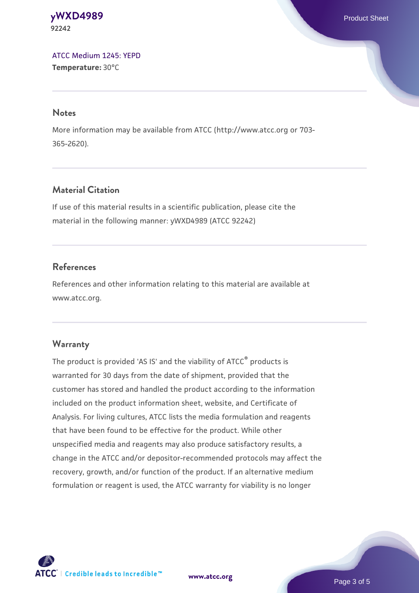#### **[yWXD4989](https://www.atcc.org/products/92242)** Product Sheet **92242**

[ATCC Medium 1245: YEPD](https://www.atcc.org/-/media/product-assets/documents/microbial-media-formulations/1/2/4/5/atcc-medium-1245.pdf?rev=705ca55d1b6f490a808a965d5c072196) **Temperature:** 30°C

#### **Notes**

More information may be available from ATCC (http://www.atcc.org or 703- 365-2620).

# **Material Citation**

If use of this material results in a scientific publication, please cite the material in the following manner: yWXD4989 (ATCC 92242)

# **References**

References and other information relating to this material are available at www.atcc.org.

# **Warranty**

The product is provided 'AS IS' and the viability of ATCC® products is warranted for 30 days from the date of shipment, provided that the customer has stored and handled the product according to the information included on the product information sheet, website, and Certificate of Analysis. For living cultures, ATCC lists the media formulation and reagents that have been found to be effective for the product. While other unspecified media and reagents may also produce satisfactory results, a change in the ATCC and/or depositor-recommended protocols may affect the recovery, growth, and/or function of the product. If an alternative medium formulation or reagent is used, the ATCC warranty for viability is no longer



**[www.atcc.org](http://www.atcc.org)**

Page 3 of 5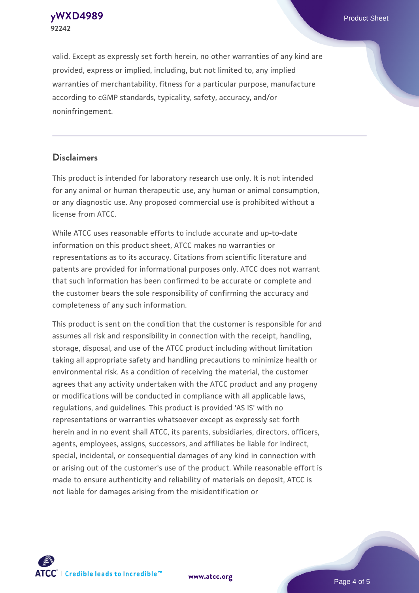**92242**

**[yWXD4989](https://www.atcc.org/products/92242)** Product Sheet

valid. Except as expressly set forth herein, no other warranties of any kind are provided, express or implied, including, but not limited to, any implied warranties of merchantability, fitness for a particular purpose, manufacture according to cGMP standards, typicality, safety, accuracy, and/or noninfringement.

#### **Disclaimers**

This product is intended for laboratory research use only. It is not intended for any animal or human therapeutic use, any human or animal consumption, or any diagnostic use. Any proposed commercial use is prohibited without a license from ATCC.

While ATCC uses reasonable efforts to include accurate and up-to-date information on this product sheet, ATCC makes no warranties or representations as to its accuracy. Citations from scientific literature and patents are provided for informational purposes only. ATCC does not warrant that such information has been confirmed to be accurate or complete and the customer bears the sole responsibility of confirming the accuracy and completeness of any such information.

This product is sent on the condition that the customer is responsible for and assumes all risk and responsibility in connection with the receipt, handling, storage, disposal, and use of the ATCC product including without limitation taking all appropriate safety and handling precautions to minimize health or environmental risk. As a condition of receiving the material, the customer agrees that any activity undertaken with the ATCC product and any progeny or modifications will be conducted in compliance with all applicable laws, regulations, and guidelines. This product is provided 'AS IS' with no representations or warranties whatsoever except as expressly set forth herein and in no event shall ATCC, its parents, subsidiaries, directors, officers, agents, employees, assigns, successors, and affiliates be liable for indirect, special, incidental, or consequential damages of any kind in connection with or arising out of the customer's use of the product. While reasonable effort is made to ensure authenticity and reliability of materials on deposit, ATCC is not liable for damages arising from the misidentification or



**[www.atcc.org](http://www.atcc.org)**

Page 4 of 5